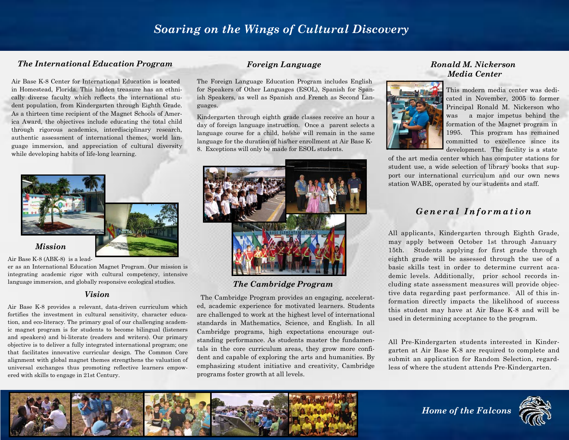### *Soaring on the Wings of Cultural Discovery*

### *The International Education Program Foreign Language Ronald M. Nickerson*

Air Base K-8 Center for International Education is located in Homestead, Florida. This hidden treasure has an ethnically diverse faculty which reflects the international student population, from Kindergarten through Eighth Grade. As a thirteen time recipient of the Magnet Schools of America Award, the objectives include educating the total child through rigorous academics, interdisciplinary research, authentic assessment of international themes, world language immersion, and appreciation of cultural diversity while developing habits of life-long learning.



Air Base K-8 (ABK-8) is a lead-

er as an International Education Magnet Program. Our mission is integrating academic rigor with cultural competency, intensive language immersion, and globally responsive ecological studies.

#### *Vision*

Air Base K-8 provides a relevant, data-driven curriculum which fortifies the investment in cultural sensitivity, character education, and eco-literacy. The primary goal of our challenging academic magnet program is for students to become bilingual (listeners and speakers) and bi-literate (readers and writers). Our primary objective is to deliver a fully integrated international program; one that facilitates innovative curricular design. The Common Core alignment with global magnet themes strengthens the valuation of universal exchanges thus promoting reflective learners empowered with skills to engage in 21st Century.

The Foreign Language Education Program includes English for Speakers of Other Languages (ESOL), Spanish for Spanish Speakers, as well as Spanish and French as Second Languages.

Kindergarten through eighth grade classes receive an hour a day of foreign language instruction. Once a parent selects a language course for a child, he/she will remain in the same language for the duration of his/her enrollment at Air Base K-8. Exceptions will only be made for ESOL students.



### *The Cambridge Program*

The Cambridge Program provides an engaging, accelerated, academic experience for motivated learners. Students are challenged to work at the highest level of international standards in Mathematics, Science, and English. In all Cambridge programs, high expectations encourage outstanding performance. As students master the fundamentals in the core curriculum areas, they grow more confident and capable of exploring the arts and humanities. By emphasizing student initiative and creativity, Cambridge programs foster growth at all levels.

# *Media Center*



This modern media center was dedicated in November, 2005 to former Principal Ronald M. Nickerson who was a major impetus behind the formation of the Magnet program in 1995. This program has remained committed to excellence since its development. The facility is a state

of the art media center which has computer stations for student use, a wide selection of library books that support our international curriculum and our own news station WABE, operated by our students and staff.

### *G e n e ral Inf o r m a t i on*

All applicants, Kindergarten through Eighth Grade, may apply between October 1st through January 15th. Students applying for first grade through eighth grade will be assessed through the use of a basic skills test in order to determine current academic levels. Additionally, prior school records including state assessment measures will provide objective data regarding past performance. All of this information directly impacts the likelihood of success this student may have at Air Base K-8 and will be used in determining acceptance to the program.

All Pre-Kindergarten students interested in Kindergarten at Air Base K-8 are required to complete and submit an application for Random Selection, regardless of where the student attends Pre-Kindergarten.